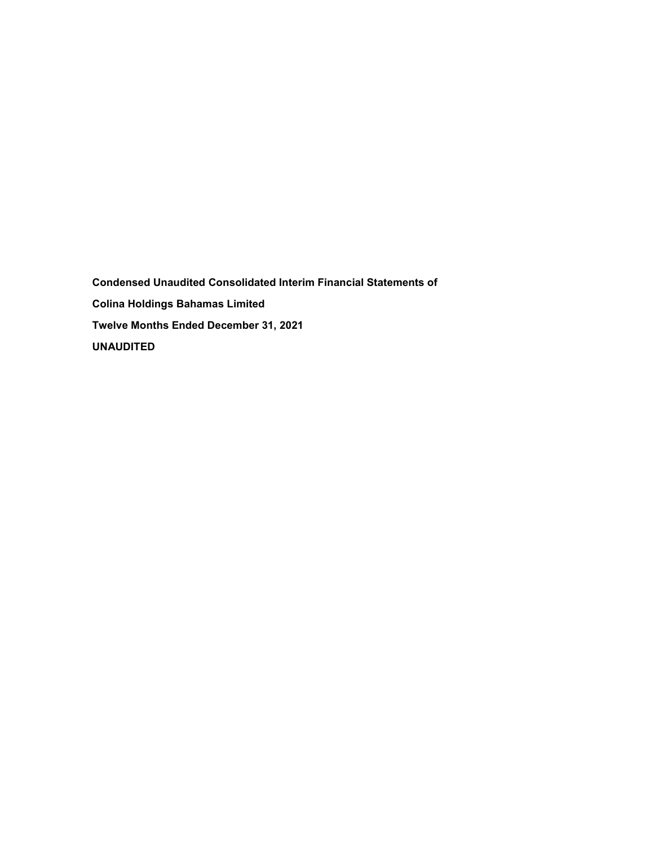**Condensed Unaudited Consolidated Interim Financial Statements of Colina Holdings Bahamas Limited Twelve Months Ended December 31, 2021 UNAUDITED**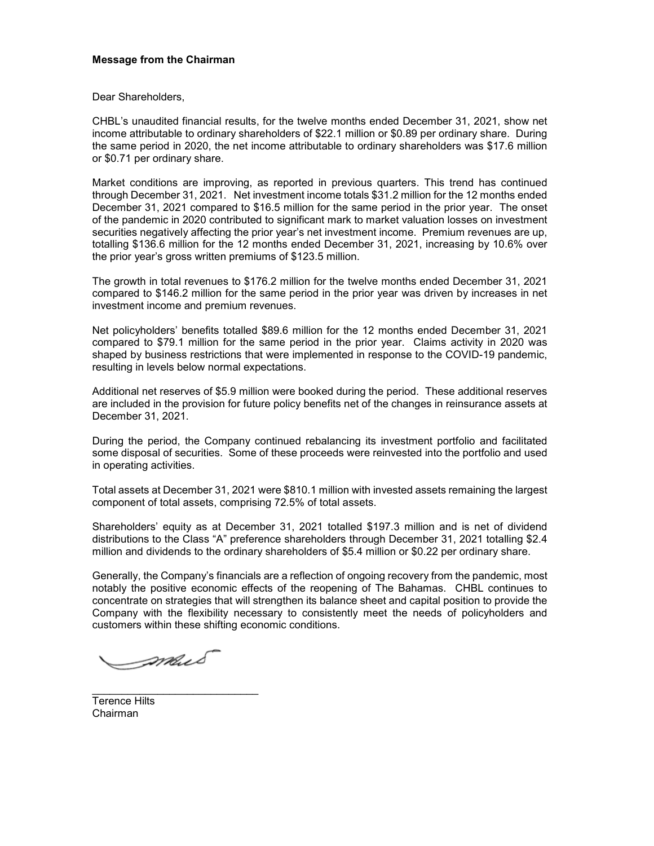# **Message from the Chairman**

Dear Shareholders,

CHBL's unaudited financial results, for the twelve months ended December 31, 2021, show net income attributable to ordinary shareholders of \$22.1 million or \$0.89 per ordinary share. During the same period in 2020, the net income attributable to ordinary shareholders was \$17.6 million or \$0.71 per ordinary share.

Market conditions are improving, as reported in previous quarters. This trend has continued through December 31, 2021. Net investment income totals \$31.2 million for the 12 months ended December 31, 2021 compared to \$16.5 million for the same period in the prior year. The onset of the pandemic in 2020 contributed to significant mark to market valuation losses on investment securities negatively affecting the prior year's net investment income. Premium revenues are up, totalling \$136.6 million for the 12 months ended December 31, 2021, increasing by 10.6% over the prior year's gross written premiums of \$123.5 million.

The growth in total revenues to \$176.2 million for the twelve months ended December 31, 2021 compared to \$146.2 million for the same period in the prior year was driven by increases in net investment income and premium revenues.

Net policyholders' benefits totalled \$89.6 million for the 12 months ended December 31, 2021 compared to \$79.1 million for the same period in the prior year. Claims activity in 2020 was shaped by business restrictions that were implemented in response to the COVID-19 pandemic, resulting in levels below normal expectations.

Additional net reserves of \$5.9 million were booked during the period. These additional reserves are included in the provision for future policy benefits net of the changes in reinsurance assets at December 31, 2021.

During the period, the Company continued rebalancing its investment portfolio and facilitated some disposal of securities. Some of these proceeds were reinvested into the portfolio and used in operating activities.

Total assets at December 31, 2021 were \$810.1 million with invested assets remaining the largest component of total assets, comprising 72.5% of total assets.

Shareholders' equity as at December 31, 2021 totalled \$197.3 million and is net of dividend distributions to the Class "A" preference shareholders through December 31, 2021 totalling \$2.4 million and dividends to the ordinary shareholders of \$5.4 million or \$0.22 per ordinary share.

Generally, the Company's financials are a reflection of ongoing recovery from the pandemic, most notably the positive economic effects of the reopening of The Bahamas. CHBL continues to concentrate on strategies that will strengthen its balance sheet and capital position to provide the Company with the flexibility necessary to consistently meet the needs of policyholders and customers within these shifting economic conditions.

Imail

\_\_\_\_\_\_\_\_\_\_\_\_\_\_\_\_\_\_\_\_\_\_\_\_\_\_\_\_

Terence Hilts Chairman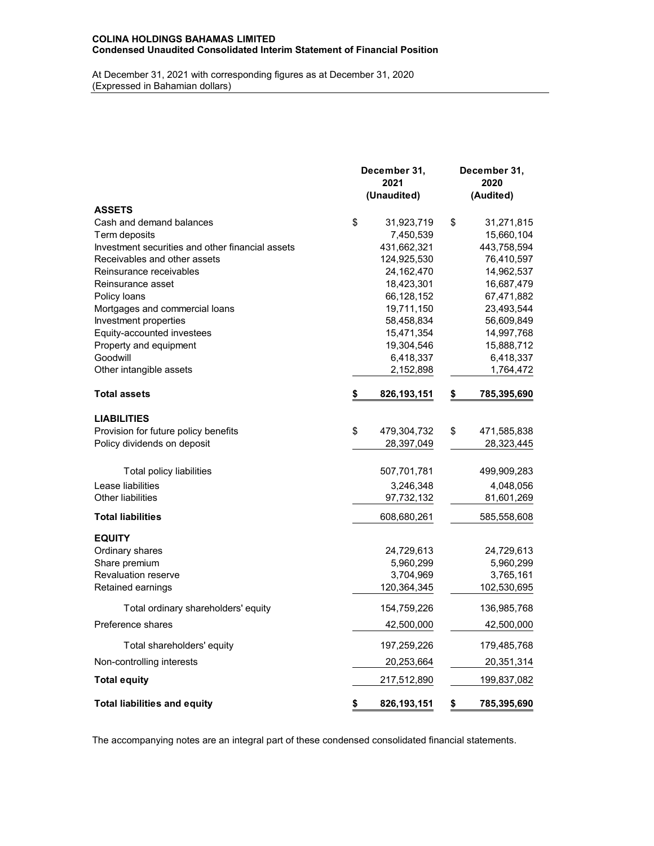# **COLINA HOLDINGS BAHAMAS LIMITED Condensed Unaudited Consolidated Interim Statement of Financial Position**

At December 31, 2021 with corresponding figures as at December 31, 2020 (Expressed in Bahamian dollars)

|                                                  | December 31,<br>2021<br>(Unaudited) | December 31,<br>2020<br>(Audited) |
|--------------------------------------------------|-------------------------------------|-----------------------------------|
| <b>ASSETS</b>                                    |                                     |                                   |
| Cash and demand balances                         | \$<br>31,923,719                    | \$<br>31,271,815                  |
| Term deposits                                    | 7,450,539                           | 15,660,104                        |
| Investment securities and other financial assets | 431,662,321                         | 443,758,594                       |
| Receivables and other assets                     | 124,925,530                         | 76,410,597                        |
| Reinsurance receivables                          | 24, 162, 470                        | 14,962,537                        |
| Reinsurance asset                                | 18,423,301                          | 16,687,479                        |
| Policy loans                                     | 66,128,152                          | 67,471,882                        |
| Mortgages and commercial loans                   | 19,711,150                          | 23,493,544                        |
| Investment properties                            | 58,458,834                          | 56,609,849                        |
| Equity-accounted investees                       | 15,471,354                          | 14,997,768                        |
| Property and equipment                           | 19,304,546                          | 15,888,712                        |
| Goodwill                                         | 6,418,337                           | 6,418,337                         |
| Other intangible assets                          | 2,152,898                           | 1,764,472                         |
| Total assets                                     | 826, 193, 151<br>\$                 | 785,395,690<br>\$                 |
| <b>LIABILITIES</b>                               |                                     |                                   |
| Provision for future policy benefits             | \$<br>479,304,732                   | \$<br>471,585,838                 |
| Policy dividends on deposit                      | 28,397,049                          | 28,323,445                        |
|                                                  |                                     |                                   |
| Total policy liabilities                         | 507,701,781                         | 499,909,283                       |
| Lease liabilities                                | 3,246,348                           | 4,048,056                         |
| Other liabilities                                | 97,732,132                          | 81,601,269                        |
| <b>Total liabilities</b>                         | 608,680,261                         | 585,558,608                       |
| <b>EQUITY</b>                                    |                                     |                                   |
| Ordinary shares                                  | 24,729,613                          | 24,729,613                        |
| Share premium                                    | 5,960,299                           | 5,960,299                         |
| <b>Revaluation reserve</b>                       | 3,704,969                           | 3,765,161                         |
| Retained earnings                                | 120,364,345                         | 102,530,695                       |
| Total ordinary shareholders' equity              | 154,759,226                         | 136,985,768                       |
| Preference shares                                | 42,500,000                          | 42,500,000                        |
| Total shareholders' equity                       | 197,259,226                         | 179,485,768                       |
| Non-controlling interests                        | 20,253,664                          | 20,351,314                        |
| <b>Total equity</b>                              | 217,512,890                         | 199,837,082                       |
| <b>Total liabilities and equity</b>              | \$<br>826, 193, 151                 | \$<br>785,395,690                 |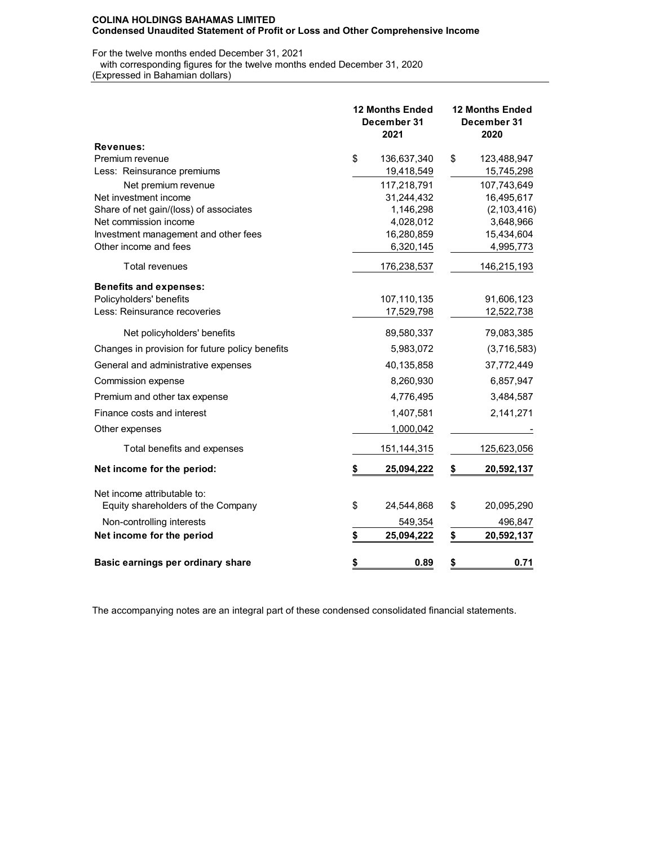For the twelve months ended December 31, 2021

with corresponding figures for the twelve months ended December 31, 2020

(Expressed in Bahamian dollars)

|                                                 | <b>12 Months Ended</b><br>December 31<br>2021 | <b>12 Months Ended</b><br>December 31<br>2020 |                             |  |  |
|-------------------------------------------------|-----------------------------------------------|-----------------------------------------------|-----------------------------|--|--|
| <b>Revenues:</b>                                |                                               |                                               |                             |  |  |
| Premium revenue                                 | \$<br>136,637,340                             | \$                                            | 123,488,947                 |  |  |
| Less: Reinsurance premiums                      | 19,418,549                                    |                                               | 15,745,298                  |  |  |
| Net premium revenue<br>Net investment income    | 117,218,791                                   |                                               | 107,743,649                 |  |  |
| Share of net gain/(loss) of associates          | 31,244,432<br>1,146,298                       |                                               | 16,495,617<br>(2, 103, 416) |  |  |
| Net commission income                           | 4,028,012                                     |                                               | 3,648,966                   |  |  |
| Investment management and other fees            | 16,280,859                                    |                                               | 15,434,604                  |  |  |
| Other income and fees                           | 6,320,145                                     |                                               | 4,995,773                   |  |  |
| <b>Total revenues</b>                           | 176,238,537                                   |                                               | 146,215,193                 |  |  |
| <b>Benefits and expenses:</b>                   |                                               |                                               |                             |  |  |
| Policyholders' benefits                         | 107,110,135                                   |                                               | 91,606,123                  |  |  |
| Less: Reinsurance recoveries                    | 17,529,798                                    |                                               | 12,522,738                  |  |  |
| Net policyholders' benefits                     | 89,580,337                                    |                                               | 79,083,385                  |  |  |
| Changes in provision for future policy benefits | 5,983,072                                     |                                               | (3,716,583)                 |  |  |
| General and administrative expenses             | 40,135,858                                    |                                               | 37,772,449                  |  |  |
| Commission expense                              | 8,260,930                                     |                                               | 6,857,947                   |  |  |
| Premium and other tax expense                   | 4,776,495                                     |                                               | 3,484,587                   |  |  |
| Finance costs and interest                      | 1,407,581                                     |                                               | 2,141,271                   |  |  |
| Other expenses                                  | 1,000,042                                     |                                               |                             |  |  |
| Total benefits and expenses                     | 151, 144, 315                                 |                                               | 125,623,056                 |  |  |
| Net income for the period:                      | \$<br>25,094,222                              | \$                                            | 20,592,137                  |  |  |
| Net income attributable to:                     |                                               |                                               |                             |  |  |
| Equity shareholders of the Company              | \$<br>24,544,868                              | \$                                            | 20,095,290                  |  |  |
| Non-controlling interests                       | 549,354                                       |                                               | 496,847                     |  |  |
| Net income for the period                       | \$<br>25,094,222                              | \$                                            | 20,592,137                  |  |  |
| Basic earnings per ordinary share               | \$<br>0.89                                    | \$                                            | 0.71                        |  |  |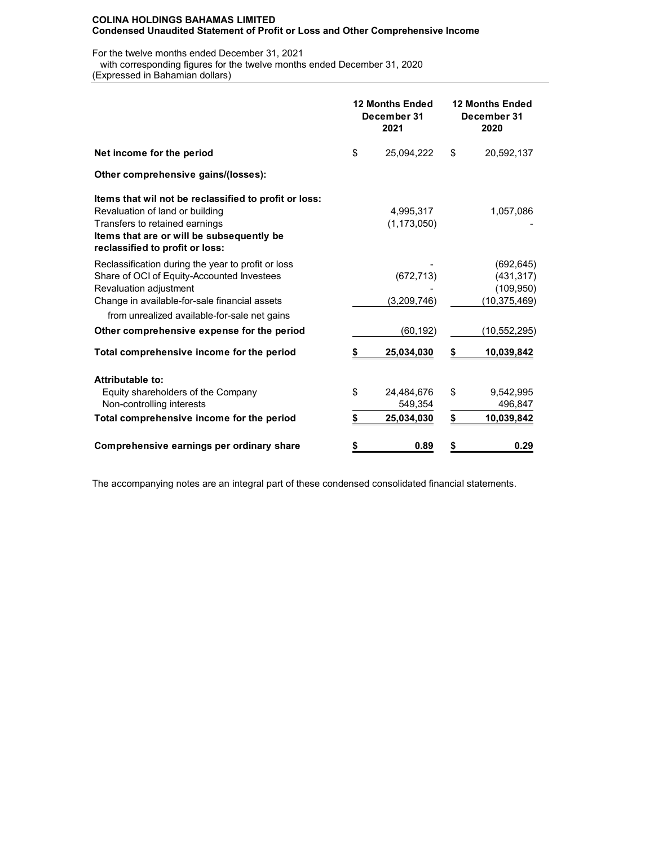For the twelve months ended December 31, 2021

 with corresponding figures for the twelve months ended December 31, 2020 (Expressed in Bahamian dollars)

|                                                                                                                                                                                                            |    | <b>12 Months Ended</b><br>December 31<br>2021 | <b>12 Months Ended</b><br>December 31<br>2020 |                                                          |  |
|------------------------------------------------------------------------------------------------------------------------------------------------------------------------------------------------------------|----|-----------------------------------------------|-----------------------------------------------|----------------------------------------------------------|--|
| Net income for the period                                                                                                                                                                                  | \$ | 25,094,222                                    | \$                                            | 20,592,137                                               |  |
| Other comprehensive gains/(losses):                                                                                                                                                                        |    |                                               |                                               |                                                          |  |
| Items that wil not be reclassified to profit or loss:<br>Revaluation of land or building<br>Transfers to retained earnings<br>Items that are or will be subsequently be<br>reclassified to profit or loss: |    | 4,995,317<br>(1, 173, 050)                    |                                               | 1,057,086                                                |  |
| Reclassification during the year to profit or loss<br>Share of OCI of Equity-Accounted Investees<br>Revaluation adjustment<br>Change in available-for-sale financial assets                                |    | (672, 713)<br>(3,209,746)                     |                                               | (692, 645)<br>(431, 317)<br>(109, 950)<br>(10, 375, 469) |  |
| from unrealized available-for-sale net gains                                                                                                                                                               |    |                                               |                                               |                                                          |  |
| Other comprehensive expense for the period                                                                                                                                                                 |    | (60, 192)                                     |                                               | (10,552,295)                                             |  |
| Total comprehensive income for the period                                                                                                                                                                  | \$ | 25,034,030                                    | \$                                            | 10,039,842                                               |  |
| Attributable to:                                                                                                                                                                                           |    |                                               |                                               |                                                          |  |
| Equity shareholders of the Company<br>Non-controlling interests                                                                                                                                            | \$ | 24,484,676<br>549,354                         | \$                                            | 9,542,995<br>496,847                                     |  |
| Total comprehensive income for the period                                                                                                                                                                  | \$ | 25,034,030                                    | \$                                            | 10,039,842                                               |  |
| Comprehensive earnings per ordinary share                                                                                                                                                                  | \$ | 0.89                                          | \$                                            | 0.29                                                     |  |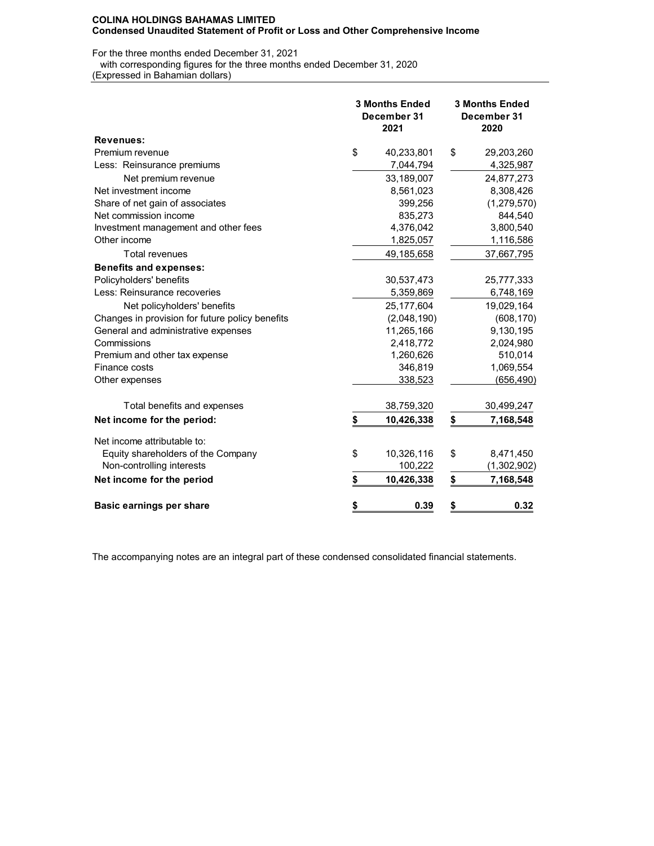For the three months ended December 31, 2021

with corresponding figures for the three months ended December 31, 2020

(Expressed in Bahamian dollars)

|                                                 | <b>3 Months Ended</b><br>December 31<br>2021 | <b>3 Months Ended</b><br>December 31<br>2020 |                  |  |  |
|-------------------------------------------------|----------------------------------------------|----------------------------------------------|------------------|--|--|
| <b>Revenues:</b>                                |                                              |                                              |                  |  |  |
| Premium revenue                                 | \$<br>40,233,801                             | \$                                           | 29,203,260       |  |  |
| Less: Reinsurance premiums                      | 7,044,794                                    |                                              | 4,325,987        |  |  |
| Net premium revenue                             | 33,189,007                                   |                                              | 24,877,273       |  |  |
| Net investment income                           | 8,561,023                                    |                                              | 8,308,426        |  |  |
| Share of net gain of associates                 | 399,256                                      |                                              | (1, 279, 570)    |  |  |
| Net commission income                           | 835,273                                      |                                              | 844,540          |  |  |
| Investment management and other fees            | 4,376,042                                    |                                              | 3,800,540        |  |  |
| Other income                                    | 1,825,057                                    |                                              | 1,116,586        |  |  |
| <b>Total revenues</b>                           | 49,185,658                                   |                                              | 37,667,795       |  |  |
| <b>Benefits and expenses:</b>                   |                                              |                                              |                  |  |  |
| Policyholders' benefits                         | 30,537,473                                   |                                              | 25,777,333       |  |  |
| Less: Reinsurance recoveries                    | 5,359,869                                    |                                              | 6,748,169        |  |  |
| Net policyholders' benefits                     | 25,177,604                                   |                                              | 19,029,164       |  |  |
| Changes in provision for future policy benefits | (2,048,190)                                  |                                              | (608, 170)       |  |  |
| General and administrative expenses             | 11,265,166                                   |                                              | 9,130,195        |  |  |
| Commissions                                     | 2,418,772                                    |                                              | 2,024,980        |  |  |
| Premium and other tax expense                   | 1,260,626                                    |                                              | 510,014          |  |  |
| Finance costs                                   | 346,819                                      |                                              | 1,069,554        |  |  |
| Other expenses                                  | 338,523                                      |                                              | <u>(656,490)</u> |  |  |
| Total benefits and expenses                     | 38,759,320                                   |                                              | 30,499,247       |  |  |
| Net income for the period:                      | \$<br>10,426,338                             | \$                                           | 7,168,548        |  |  |
| Net income attributable to:                     |                                              |                                              |                  |  |  |
| Equity shareholders of the Company              | \$<br>10,326,116                             | \$                                           | 8,471,450        |  |  |
| Non-controlling interests                       | 100,222                                      |                                              | (1,302,902)      |  |  |
| Net income for the period                       | \$<br>10,426,338                             | \$                                           | 7,168,548        |  |  |
| <b>Basic earnings per share</b>                 | \$<br>0.39                                   | \$                                           | 0.32             |  |  |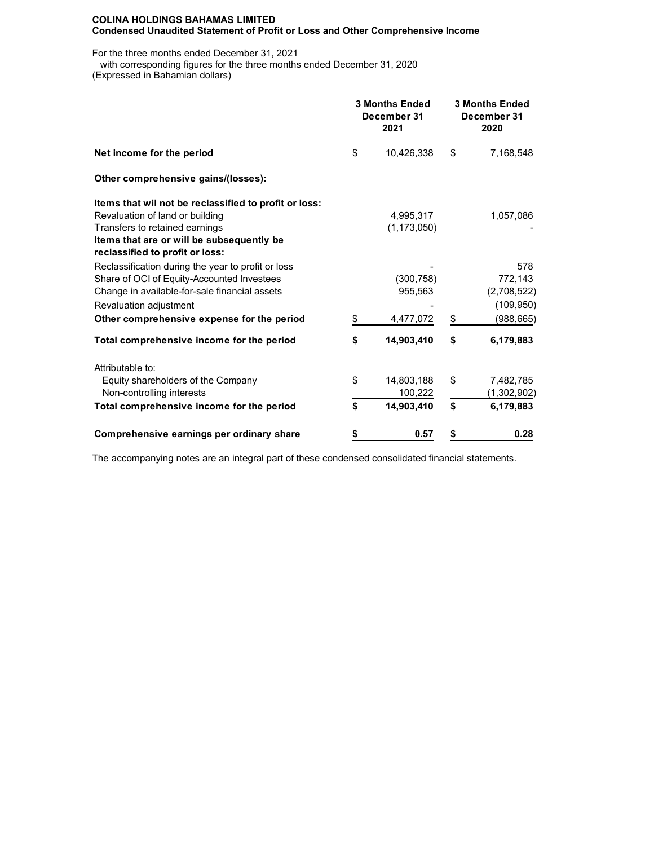For the three months ended December 31, 2021

 with corresponding figures for the three months ended December 31, 2020 (Expressed in Bahamian dollars)

|                                                                                                                                                                             |    | <b>3 Months Ended</b><br>December 31<br>2021 | <b>3 Months Ended</b><br>December 31<br>2020 |                                            |  |
|-----------------------------------------------------------------------------------------------------------------------------------------------------------------------------|----|----------------------------------------------|----------------------------------------------|--------------------------------------------|--|
| Net income for the period                                                                                                                                                   |    | 10,426,338                                   | \$                                           | 7,168,548                                  |  |
| Other comprehensive gains/(losses):                                                                                                                                         |    |                                              |                                              |                                            |  |
| Items that wil not be reclassified to profit or loss:<br>Revaluation of land or building<br>Transfers to retained earnings<br>Items that are or will be subsequently be     |    | 4,995,317<br>(1, 173, 050)                   |                                              | 1,057,086                                  |  |
| reclassified to profit or loss:                                                                                                                                             |    |                                              |                                              |                                            |  |
| Reclassification during the year to profit or loss<br>Share of OCI of Equity-Accounted Investees<br>Change in available-for-sale financial assets<br>Revaluation adjustment |    | (300, 758)<br>955,563                        |                                              | 578<br>772,143<br>(2,708,522)<br>(109,950) |  |
| Other comprehensive expense for the period                                                                                                                                  | \$ | 4,477,072                                    | \$                                           | (988, 665)                                 |  |
| Total comprehensive income for the period                                                                                                                                   |    | 14,903,410                                   | S                                            | 6,179,883                                  |  |
| Attributable to:                                                                                                                                                            |    |                                              |                                              |                                            |  |
| Equity shareholders of the Company<br>Non-controlling interests                                                                                                             | \$ | 14,803,188<br>100,222                        | \$                                           | 7,482,785<br>(1,302,902)                   |  |
| Total comprehensive income for the period                                                                                                                                   | \$ | 14,903,410                                   | \$                                           | 6,179,883                                  |  |
| Comprehensive earnings per ordinary share                                                                                                                                   | \$ | 0.57                                         | \$                                           | 0.28                                       |  |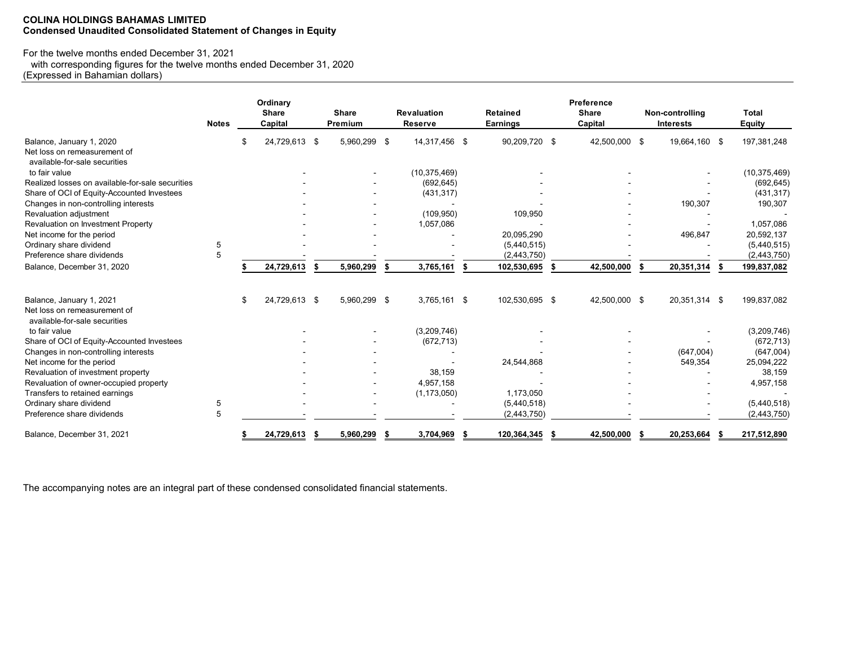# **COLINA HOLDINGS BAHAMAS LIMITED Condensed Unaudited Consolidated Statement of Changes in Equity**

# For the twelve months ended December 31, 2021

with corresponding figures for the twelve months ended December 31, 2020

(Expressed in Bahamian dollars)

|                                                                                           | <b>Notes</b> |    | Ordinary<br><b>Share</b><br>Capital | <b>Share</b><br>Premium |    | <b>Revaluation</b><br>Reserve |    | Retained<br>Earnings | Preference<br><b>Share</b><br>Capital | Non-controlling<br><b>Interests</b> | <b>Total</b><br>Equity |
|-------------------------------------------------------------------------------------------|--------------|----|-------------------------------------|-------------------------|----|-------------------------------|----|----------------------|---------------------------------------|-------------------------------------|------------------------|
| Balance, January 1, 2020<br>Net loss on remeasurement of<br>available-for-sale securities |              | \$ | 24,729,613 \$                       | 5,960,299 \$            |    | 14,317,456 \$                 |    | 90,209,720 \$        | 42,500,000 \$                         | 19,664,160 \$                       | 197,381,248            |
| to fair value                                                                             |              |    |                                     |                         |    | (10, 375, 469)                |    |                      |                                       |                                     | (10, 375, 469)         |
| Realized losses on available-for-sale securities                                          |              |    |                                     |                         |    | (692, 645)                    |    |                      |                                       |                                     | (692, 645)             |
| Share of OCI of Equity-Accounted Investees                                                |              |    |                                     |                         |    | (431, 317)                    |    |                      |                                       |                                     | (431, 317)             |
| Changes in non-controlling interests                                                      |              |    |                                     |                         |    |                               |    |                      |                                       | 190,307                             | 190,307                |
| Revaluation adjustment                                                                    |              |    |                                     |                         |    | (109, 950)                    |    | 109,950              |                                       |                                     |                        |
| Revaluation on Investment Property                                                        |              |    |                                     |                         |    | 1,057,086                     |    |                      |                                       |                                     | 1,057,086              |
| Net income for the period                                                                 |              |    |                                     |                         |    |                               |    | 20,095,290           |                                       | 496,847                             | 20,592,137             |
| Ordinary share dividend                                                                   | 5            |    |                                     |                         |    |                               |    | (5,440,515)          |                                       |                                     | (5,440,515)            |
| Preference share dividends                                                                | 5            |    |                                     |                         |    |                               |    | (2,443,750)          |                                       |                                     | (2,443,750)            |
| Balance, December 31, 2020                                                                |              |    | 24,729,613                          | 5,960,299               | \$ | 3,765,161                     | \$ | 102,530,695          | 42,500,000                            | \$<br>20,351,314                    | 199,837,082            |
| Balance, January 1, 2021<br>Net loss on remeasurement of<br>available-for-sale securities |              | S  | 24,729,613 \$                       | 5,960,299 \$            |    | 3,765,161 \$                  |    | 102,530,695 \$       | 42,500,000 \$                         | 20,351,314 \$                       | 199,837,082            |
| to fair value                                                                             |              |    |                                     |                         |    | (3,209,746)                   |    |                      |                                       |                                     | (3,209,746)            |
| Share of OCI of Equity-Accounted Investees                                                |              |    |                                     |                         |    | (672, 713)                    |    |                      |                                       |                                     | (672, 713)             |
| Changes in non-controlling interests                                                      |              |    |                                     |                         |    |                               |    |                      |                                       | (647,004)                           | (647,004)              |
| Net income for the period                                                                 |              |    |                                     |                         |    |                               |    | 24,544,868           |                                       | 549,354                             | 25,094,222             |
| Revaluation of investment property                                                        |              |    |                                     |                         |    | 38.159                        |    |                      |                                       |                                     | 38,159                 |
| Revaluation of owner-occupied property                                                    |              |    |                                     |                         |    | 4,957,158                     |    |                      |                                       |                                     | 4,957,158              |
| Transfers to retained earnings                                                            |              |    |                                     |                         |    | (1, 173, 050)                 |    | 1,173,050            |                                       |                                     |                        |
| Ordinary share dividend                                                                   | 5            |    |                                     |                         |    |                               |    | (5,440,518)          |                                       |                                     | (5,440,518)            |
| Preference share dividends                                                                | 5            |    |                                     |                         |    |                               |    | (2,443,750)          |                                       |                                     | (2,443,750)            |
| Balance, December 31, 2021                                                                |              |    | 24,729,613                          | 5,960,299               | S  | 3,704,969                     | £. | 120,364,345          | 42,500,000                            | 20,253,664                          | 217,512,890            |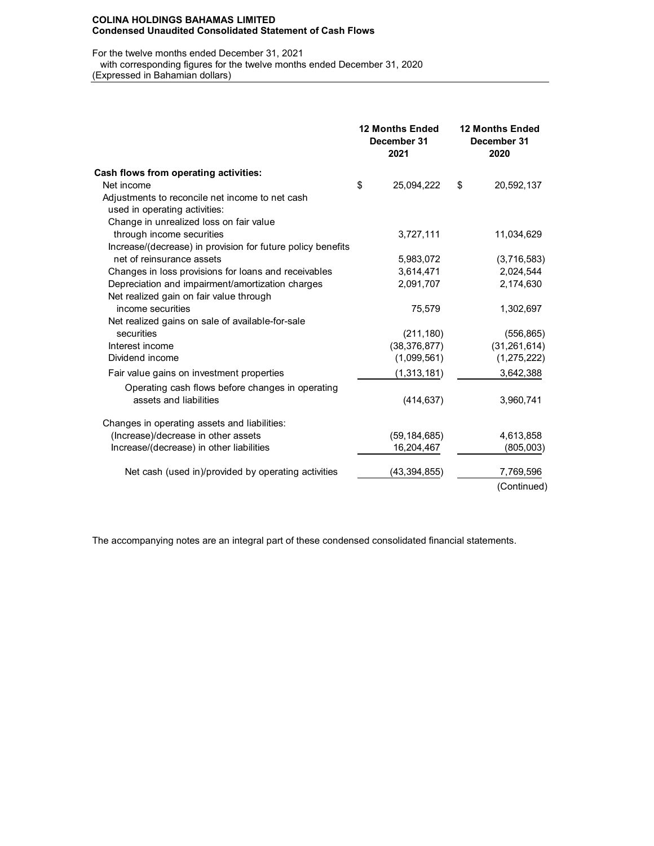#### **COLINA HOLDINGS BAHAMAS LIMITED Condensed Unaudited Consolidated Statement of Cash Flows**

For the twelve months ended December 31, 2021

 with corresponding figures for the twelve months ended December 31, 2020 (Expressed in Bahamian dollars)

|                                                             | <b>12 Months Ended</b><br>December 31<br>2021 | <b>12 Months Ended</b><br>December 31<br>2020 |                |  |
|-------------------------------------------------------------|-----------------------------------------------|-----------------------------------------------|----------------|--|
| Cash flows from operating activities:                       |                                               |                                               |                |  |
| Net income                                                  | \$<br>25,094,222                              | \$                                            | 20,592,137     |  |
| Adjustments to reconcile net income to net cash             |                                               |                                               |                |  |
| used in operating activities:                               |                                               |                                               |                |  |
| Change in unrealized loss on fair value                     |                                               |                                               |                |  |
| through income securities                                   | 3,727,111                                     |                                               | 11,034,629     |  |
| Increase/(decrease) in provision for future policy benefits |                                               |                                               |                |  |
| net of reinsurance assets                                   | 5,983,072                                     |                                               | (3,716,583)    |  |
| Changes in loss provisions for loans and receivables        | 3,614,471                                     |                                               | 2,024,544      |  |
| Depreciation and impairment/amortization charges            | 2,091,707                                     |                                               | 2,174,630      |  |
| Net realized gain on fair value through                     |                                               |                                               |                |  |
| income securities                                           | 75,579                                        |                                               | 1,302,697      |  |
| Net realized gains on sale of available-for-sale            |                                               |                                               |                |  |
| securities                                                  | (211, 180)                                    |                                               | (556, 865)     |  |
| Interest income                                             | (38, 376, 877)                                |                                               | (31, 261, 614) |  |
| Dividend income                                             | (1,099,561)                                   |                                               | (1, 275, 222)  |  |
| Fair value gains on investment properties                   | (1,313,181)                                   |                                               | 3,642,388      |  |
| Operating cash flows before changes in operating            |                                               |                                               |                |  |
| assets and liabilities                                      | (414, 637)                                    |                                               | 3,960,741      |  |
| Changes in operating assets and liabilities:                |                                               |                                               |                |  |
| (Increase)/decrease in other assets                         | (59, 184, 685)                                |                                               | 4,613,858      |  |
| Increase/(decrease) in other liabilities                    | 16,204,467                                    |                                               | (805,003)      |  |
| Net cash (used in)/provided by operating activities         | (43, 394, 855)                                |                                               | 7,769,596      |  |
|                                                             |                                               |                                               | (Continued)    |  |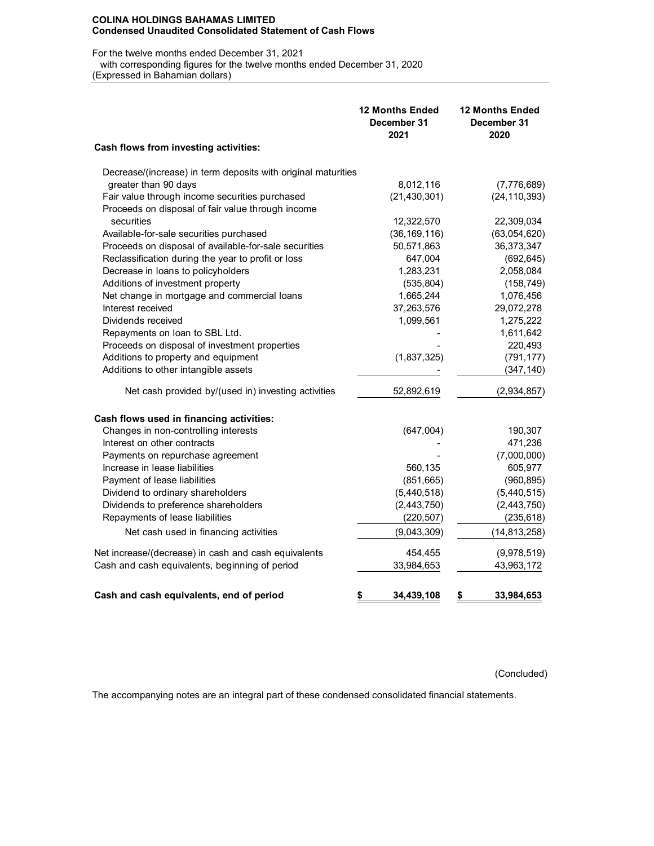#### **COLINA HOLDINGS BAHAMAS LIMITED Condensed Unaudited Consolidated Statement of Cash Flows**

For the twelve months ended December 31, 2021

 with corresponding figures for the twelve months ended December 31, 2020 (Expressed in Bahamian dollars)

|                                                               | <b>12 Months Ended</b><br>December 31<br>2021 | <b>12 Months Ended</b><br>December 31<br>2020 |
|---------------------------------------------------------------|-----------------------------------------------|-----------------------------------------------|
| Cash flows from investing activities:                         |                                               |                                               |
| Decrease/(increase) in term deposits with original maturities |                                               |                                               |
| greater than 90 days                                          | 8,012,116                                     | (7,776,689)                                   |
| Fair value through income securities purchased                | (21, 430, 301)                                | (24, 110, 393)                                |
| Proceeds on disposal of fair value through income             |                                               |                                               |
| securities                                                    | 12,322,570                                    | 22,309,034                                    |
| Available-for-sale securities purchased                       | (36, 169, 116)                                | (63,054,620)                                  |
| Proceeds on disposal of available-for-sale securities         | 50,571,863                                    | 36,373,347                                    |
| Reclassification during the year to profit or loss            | 647,004                                       | (692, 645)                                    |
| Decrease in loans to policyholders                            | 1,283,231                                     | 2,058,084                                     |
| Additions of investment property                              | (535, 804)                                    | (158, 749)                                    |
| Net change in mortgage and commercial loans                   | 1,665,244                                     | 1,076,456                                     |
| Interest received                                             | 37,263,576                                    | 29,072,278                                    |
| Dividends received                                            | 1,099,561                                     | 1,275,222                                     |
| Repayments on loan to SBL Ltd.                                |                                               | 1,611,642                                     |
| Proceeds on disposal of investment properties                 |                                               | 220,493                                       |
| Additions to property and equipment                           | (1,837,325)                                   | (791, 177)                                    |
| Additions to other intangible assets                          |                                               | (347, 140)                                    |
| Net cash provided by/(used in) investing activities           | 52,892,619                                    | (2,934,857)                                   |
| Cash flows used in financing activities:                      |                                               |                                               |
| Changes in non-controlling interests                          | (647,004)                                     | 190,307                                       |
| Interest on other contracts                                   |                                               | 471,236                                       |
| Payments on repurchase agreement                              |                                               | (7,000,000)                                   |
| Increase in lease liabilities                                 | 560,135                                       | 605,977                                       |
| Payment of lease liabilities                                  | (851, 665)                                    | (960, 895)                                    |
| Dividend to ordinary shareholders                             | (5,440,518)                                   | (5,440,515)                                   |
| Dividends to preference shareholders                          | (2,443,750)                                   | (2, 443, 750)                                 |
| Repayments of lease liabilities                               | (220, 507)                                    | (235, 618)                                    |
| Net cash used in financing activities                         | (9,043,309)                                   | (14, 813, 258)                                |
| Net increase/(decrease) in cash and cash equivalents          | 454,455                                       | (9,978,519)                                   |
| Cash and cash equivalents, beginning of period                | 33,984,653                                    | 43,963,172                                    |
| Cash and cash equivalents, end of period                      | \$<br>34,439,108                              | \$<br>33,984,653                              |

(Concluded)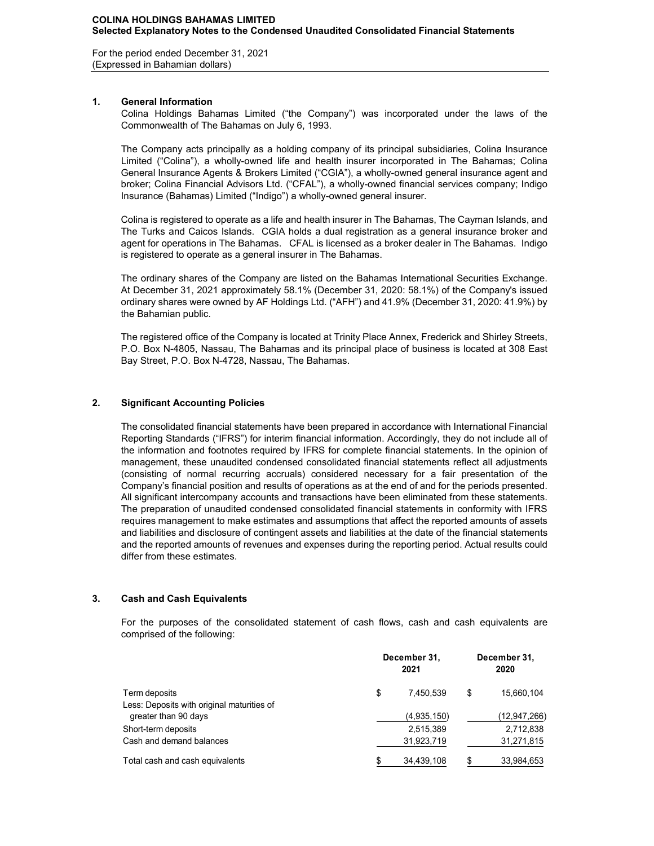For the period ended December 31, 2021 (Expressed in Bahamian dollars)

# **1. General Information**

Colina Holdings Bahamas Limited ("the Company") was incorporated under the laws of the Commonwealth of The Bahamas on July 6, 1993.

The Company acts principally as a holding company of its principal subsidiaries, Colina Insurance Limited ("Colina"), a wholly-owned life and health insurer incorporated in The Bahamas; Colina General Insurance Agents & Brokers Limited ("CGIA"), a wholly-owned general insurance agent and broker; Colina Financial Advisors Ltd. ("CFAL"), a wholly-owned financial services company; Indigo Insurance (Bahamas) Limited ("Indigo") a wholly-owned general insurer.

Colina is registered to operate as a life and health insurer in The Bahamas, The Cayman Islands, and The Turks and Caicos Islands. CGIA holds a dual registration as a general insurance broker and agent for operations in The Bahamas. CFAL is licensed as a broker dealer in The Bahamas. Indigo is registered to operate as a general insurer in The Bahamas.

The ordinary shares of the Company are listed on the Bahamas International Securities Exchange. At December 31, 2021 approximately 58.1% (December 31, 2020: 58.1%) of the Company's issued ordinary shares were owned by AF Holdings Ltd. ("AFH") and 41.9% (December 31, 2020: 41.9%) by the Bahamian public.

The registered office of the Company is located at Trinity Place Annex, Frederick and Shirley Streets, P.O. Box N-4805, Nassau, The Bahamas and its principal place of business is located at 308 East Bay Street, P.O. Box N-4728, Nassau, The Bahamas.

# **2. Significant Accounting Policies**

The consolidated financial statements have been prepared in accordance with International Financial Reporting Standards ("IFRS") for interim financial information. Accordingly, they do not include all of the information and footnotes required by IFRS for complete financial statements. In the opinion of management, these unaudited condensed consolidated financial statements reflect all adjustments (consisting of normal recurring accruals) considered necessary for a fair presentation of the Company's financial position and results of operations as at the end of and for the periods presented. All significant intercompany accounts and transactions have been eliminated from these statements. The preparation of unaudited condensed consolidated financial statements in conformity with IFRS requires management to make estimates and assumptions that affect the reported amounts of assets and liabilities and disclosure of contingent assets and liabilities at the date of the financial statements and the reported amounts of revenues and expenses during the reporting period. Actual results could differ from these estimates.

# **3. Cash and Cash Equivalents**

For the purposes of the consolidated statement of cash flows, cash and cash equivalents are comprised of the following:

| Term deposits<br>Less: Deposits with original maturities of | December 31, | December 31,<br>2020 |   |              |
|-------------------------------------------------------------|--------------|----------------------|---|--------------|
|                                                             | \$           | 7.450.539            | S | 15,660,104   |
| greater than 90 days                                        |              | (4,935,150)          |   | (12,947,266) |
| Short-term deposits                                         |              | 2,515,389            |   | 2,712,838    |
| Cash and demand balances                                    |              | 31,923,719           |   | 31,271,815   |
| Total cash and cash equivalents                             |              | 34.439.108           |   | 33,984,653   |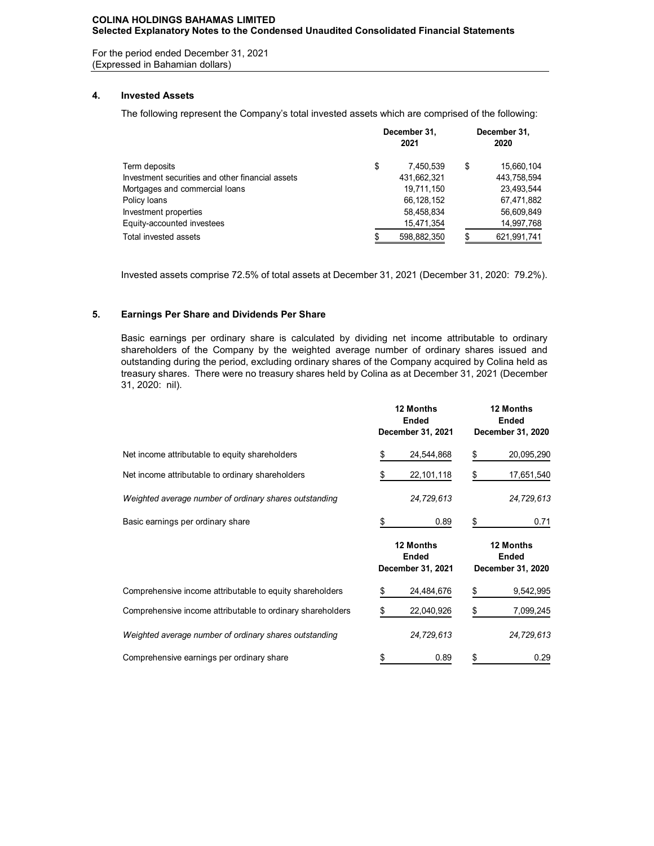# **COLINA HOLDINGS BAHAMAS LIMITED Selected Explanatory Notes to the Condensed Unaudited Consolidated Financial Statements**

For the period ended December 31, 2021 (Expressed in Bahamian dollars)

# **4. Invested Assets**

The following represent the Company's total invested assets which are comprised of the following:

|                                                  | December 31.<br>2021 | December 31,<br>2020 |             |  |
|--------------------------------------------------|----------------------|----------------------|-------------|--|
| Term deposits                                    | \$<br>7.450.539      | \$                   | 15,660,104  |  |
| Investment securities and other financial assets | 431,662,321          |                      | 443,758,594 |  |
| Mortgages and commercial loans                   | 19,711,150           |                      | 23,493,544  |  |
| Policy Ioans                                     | 66,128,152           |                      | 67,471,882  |  |
| Investment properties                            | 58,458,834           |                      | 56,609,849  |  |
| Equity-accounted investees                       | 15,471,354           |                      | 14,997,768  |  |
| Total invested assets                            | 598,882,350          |                      | 621,991,741 |  |
|                                                  |                      |                      |             |  |

Invested assets comprise 72.5% of total assets at December 31, 2021 (December 31, 2020: 79.2%).

# **5. Earnings Per Share and Dividends Per Share**

Basic earnings per ordinary share is calculated by dividing net income attributable to ordinary shareholders of the Company by the weighted average number of ordinary shares issued and outstanding during the period, excluding ordinary shares of the Company acquired by Colina held as treasury shares. There were no treasury shares held by Colina as at December 31, 2021 (December 31, 2020: nil).

|                                                            |    | 12 Months<br><b>Ended</b><br>December 31, 2021 | 12 Months<br><b>Ended</b><br>December 31, 2020 |                                                |  |
|------------------------------------------------------------|----|------------------------------------------------|------------------------------------------------|------------------------------------------------|--|
| Net income attributable to equity shareholders             | \$ | 24,544,868                                     | \$                                             | 20,095,290                                     |  |
| Net income attributable to ordinary shareholders           | \$ | 22, 101, 118                                   | \$                                             | 17,651,540                                     |  |
| Weighted average number of ordinary shares outstanding     |    | 24,729,613                                     |                                                | 24,729,613                                     |  |
| Basic earnings per ordinary share                          | \$ | 0.89                                           | \$                                             | 0.71                                           |  |
|                                                            |    | 12 Months<br>Ended<br>December 31, 2021        |                                                | 12 Months<br><b>Ended</b><br>December 31, 2020 |  |
| Comprehensive income attributable to equity shareholders   | S  | 24,484,676                                     | \$                                             | 9,542,995                                      |  |
|                                                            |    |                                                |                                                |                                                |  |
| Comprehensive income attributable to ordinary shareholders |    | 22,040,926                                     |                                                | 7,099,245                                      |  |
| Weighted average number of ordinary shares outstanding     |    | 24,729,613                                     |                                                | 24,729,613                                     |  |